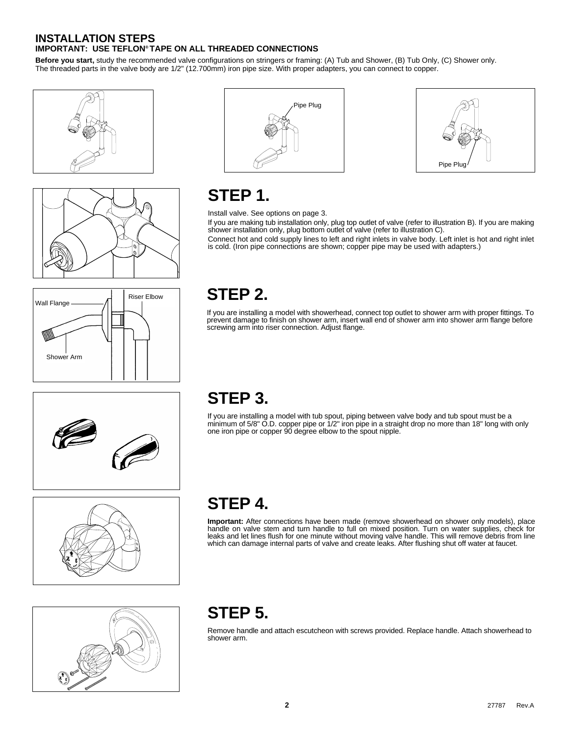#### **INSTALLATION STEPS IMPORTANT: USE TEFLON® TAPE ON ALL THREADED CONNECTIONS**

**Before you start,** study the recommended valve configurations on stringers or framing: (A) Tub and Shower, (B) Tub Only, (C) Shower only. The threaded parts in the valve body are 1/2" (12.700mm) iron pipe size. With proper adapters, you can connect to copper.











## **STEP 1.**

Install valve. See options on page 3.

If you are making tub installation only, plug top outlet of valve (refer to illustration B). If you are making shower installation only, plug bottom outlet of valve (refer to illustration C).

Connect hot and cold supply lines to left and right inlets in valve body. Left inlet is hot and right inlet is cold. (Iron pipe connections are shown; copper pipe may be used with adapters.)

## **STEP 2.**

If you are installing a model with showerhead, connect top outlet to shower arm with proper fittings. To prevent damage to finish on shower arm, insert wall end of shower arm into shower arm flange before screwing arm into riser connection. Adjust flange.





### **STEP 3.**

If you are installing a model with tub spout, piping between valve body and tub spout must be a minimum of 5/8" O.D. copper pipe or 1/2" iron pipe in a straight drop no more than 18" long with only one iron pipe or copper 90 degree elbow to the spout nipple.

# **STEP 4.**

**Important:** After connections have been made (remove showerhead on shower only models), place handle on valve stem and turn handle to full on mixed position. Turn on water supplies, check for leaks and let lines flush for one minute without moving valve handle. This will remove debris from line which can damage internal parts of valve and create leaks. After flushing shut off water at faucet.

## **STEP 5.**

Remove handle and attach escutcheon with screws provided. Replace handle. Attach showerhead to shower arm.

**2**